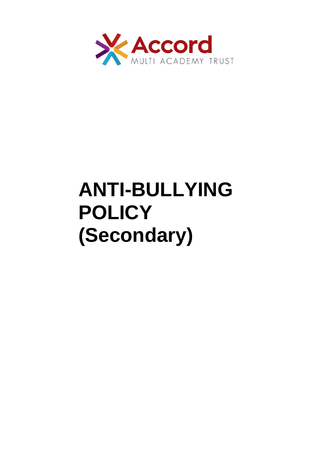

# **ANTI-BULLYING POLICY (Secondary)**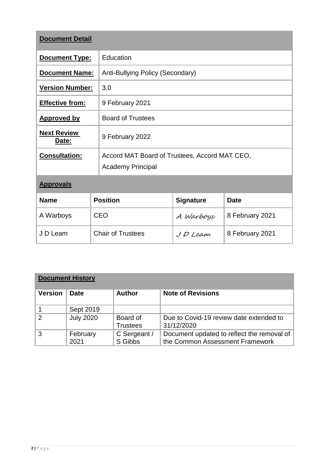| <b>Document Detail</b>      |                                                                           |                                  |             |  |
|-----------------------------|---------------------------------------------------------------------------|----------------------------------|-------------|--|
| <b>Document Type:</b>       | Education                                                                 |                                  |             |  |
| <b>Document Name:</b>       |                                                                           | Anti-Bullying Policy (Secondary) |             |  |
| <b>Version Number:</b>      | 3.0                                                                       |                                  |             |  |
| <b>Effective from:</b>      | 9 February 2021                                                           |                                  |             |  |
| <b>Approved by</b>          | <b>Board of Trustees</b>                                                  |                                  |             |  |
| <b>Next Review</b><br>Date: | 9 February 2022                                                           |                                  |             |  |
| <b>Consultation:</b>        | Accord MAT Board of Trustees, Accord MAT CEO,<br><b>Academy Principal</b> |                                  |             |  |
| <b>Approvals</b>            |                                                                           |                                  |             |  |
| <b>Name</b>                 | <b>Position</b>                                                           | <b>Signature</b>                 | <b>Date</b> |  |

| <b>Name</b> | <b>Position</b>          | <b>Signature</b> | <b>Date</b>     |
|-------------|--------------------------|------------------|-----------------|
| A Warboys   | <b>CEO</b>               | A Warboys        | 8 February 2021 |
| J D Leam    | <b>Chair of Trustees</b> | JD Leam          | 8 February 2021 |

| <b>Document History</b> |                  |                             |                                                                               |  |  |
|-------------------------|------------------|-----------------------------|-------------------------------------------------------------------------------|--|--|
| <b>Version</b>          | <b>Date</b>      | <b>Author</b>               | <b>Note of Revisions</b>                                                      |  |  |
|                         | Sept 2019        |                             |                                                                               |  |  |
| $\overline{2}$          | <b>July 2020</b> | Board of<br><b>Trustees</b> | Due to Covid-19 review date extended to<br>31/12/2020                         |  |  |
| 3                       | February<br>2021 | C Sergeant /<br>S Gibbs     | Document updated to reflect the removal of<br>the Common Assessment Framework |  |  |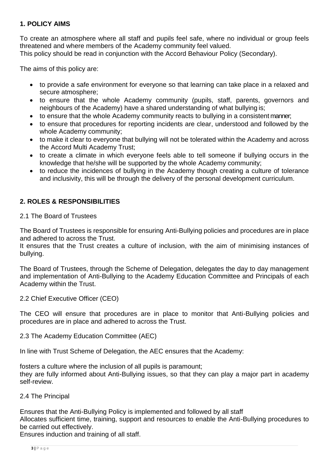## **1. POLICY AIMS**

To create an atmosphere where all staff and pupils feel safe, where no individual or group feels threatened and where members of the Academy community feel valued. This policy should be read in conjunction with the Accord Behaviour Policy (Secondary).

The aims of this policy are:

- to provide a safe environment for everyone so that learning can take place in a relaxed and secure atmosphere;
- to ensure that the whole Academy community (pupils, staff, parents, governors and neighbours of the Academy) have a shared understanding of what bullying is;
- to ensure that the whole Academy community reacts to bullying in a consistent manner;
- to ensure that procedures for reporting incidents are clear, understood and followed by the whole Academy community;
- to make it clear to everyone that bullying will not be tolerated within the Academy and across the Accord Multi Academy Trust;
- to create a climate in which everyone feels able to tell someone if bullying occurs in the knowledge that he/she will be supported by the whole Academy community;
- to reduce the incidences of bullying in the Academy though creating a culture of tolerance and inclusivity, this will be through the delivery of the personal development curriculum.

# **2. ROLES & RESPONSIBILITIES**

# 2.1 The Board of Trustees

The Board of Trustees is responsible for ensuring Anti-Bullying policies and procedures are in place and adhered to across the Trust.

It ensures that the Trust creates a culture of inclusion, with the aim of minimising instances of bullying.

The Board of Trustees, through the Scheme of Delegation, delegates the day to day management and implementation of Anti-Bullying to the Academy Education Committee and Principals of each Academy within the Trust.

2.2 Chief Executive Officer (CEO)

The CEO will ensure that procedures are in place to monitor that Anti-Bullying policies and procedures are in place and adhered to across the Trust.

2.3 The Academy Education Committee (AEC)

In line with Trust Scheme of Delegation, the AEC ensures that the Academy:

fosters a culture where the inclusion of all pupils is paramount; they are fully informed about Anti-Bullying issues, so that they can play a major part in academy self-review.

#### 2.4 The Principal

Ensures that the Anti-Bullying Policy is implemented and followed by all staff

Allocates sufficient time, training, support and resources to enable the Anti-Bullying procedures to be carried out effectively.

Ensures induction and training of all staff.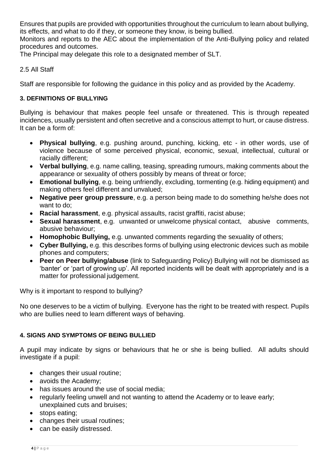Ensures that pupils are provided with opportunities throughout the curriculum to learn about bullying, its effects, and what to do if they, or someone they know, is being bullied.

Monitors and reports to the AEC about the implementation of the Anti-Bullying policy and related procedures and outcomes.

The Principal may delegate this role to a designated member of SLT.

## 2.5 All Staff

Staff are responsible for following the guidance in this policy and as provided by the Academy.

### **3. DEFINITIONS OF BULLYING**

Bullying is behaviour that makes people feel unsafe or threatened. This is through repeated incidences, usually persistent and often secretive and a conscious attempt to hurt, or cause distress. It can be a form of:

- **Physical bullying**, e.g. pushing around, punching, kicking, etc in other words, use of violence because of some perceived physical, economic, sexual, intellectual, cultural or racially different;
- **Verbal bullying**, e.g. name calling, teasing, spreading rumours, making comments about the appearance or sexuality of others possibly by means of threat or force;
- **Emotional bullying**, e.g. being unfriendly, excluding, tormenting (e.g. hiding equipment) and making others feel different and unvalued;
- **Negative peer group pressure**, e.g. a person being made to do something he/she does not want to do;
- **Racial harassment**, e.g. physical assaults, racist graffiti, racist abuse;
- **Sexual harassment**, e.g. unwanted or unwelcome physical contact, abusive comments, abusive behaviour;
- **Homophobic Bullying,** e.g. unwanted comments regarding the sexuality of others;
- **Cyber Bullying,** e.g. this describes forms of bullying using electronic devices such as mobile phones and computers;
- **Peer on Peer bullying/abuse** (link to Safeguarding Policy) Bullying will not be dismissed as 'banter' or 'part of growing up'. All reported incidents will be dealt with appropriately and is a matter for professional judgement.

Why is it important to respond to bullying?

No one deserves to be a victim of bullying. Everyone has the right to be treated with respect. Pupils who are bullies need to learn different ways of behaving.

# **4. SIGNS AND SYMPTOMS OF BEING BULLIED**

A pupil may indicate by signs or behaviours that he or she is being bullied. All adults should investigate if a pupil:

- changes their usual routine;
- avoids the Academy;
- has issues around the use of social media;
- regularly feeling unwell and not wanting to attend the Academy or to leave early; unexplained cuts and bruises;
- stops eating;
- changes their usual routines;
- can be easily distressed.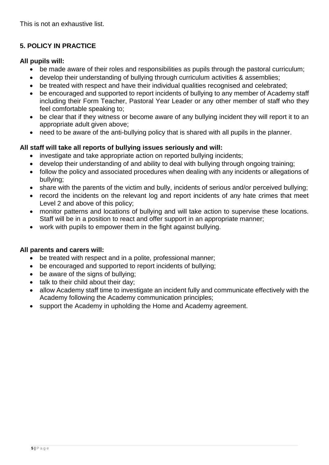This is not an exhaustive list.

# **5. POLICY IN PRACTICE**

## **All pupils will:**

- be made aware of their roles and responsibilities as pupils through the pastoral curriculum;
- develop their understanding of bullying through curriculum activities & assemblies;
- be treated with respect and have their individual qualities recognised and celebrated;
- be encouraged and supported to report incidents of bullying to any member of Academy staff including their Form Teacher, Pastoral Year Leader or any other member of staff who they feel comfortable speaking to;
- be clear that if they witness or become aware of any bullying incident they will report it to an appropriate adult given above;
- need to be aware of the anti-bullying policy that is shared with all pupils in the planner.

# **All staff will take all reports of bullying issues seriously and will:**

- investigate and take appropriate action on reported bullying incidents;
- develop their understanding of and ability to deal with bullying through ongoing training:
- follow the policy and associated procedures when dealing with any incidents or allegations of bullying;
- share with the parents of the victim and bully, incidents of serious and/or perceived bullying;
- record the incidents on the relevant log and report incidents of any hate crimes that meet Level 2 and above of this policy;
- monitor patterns and locations of bullying and will take action to supervise these locations. Staff will be in a position to react and offer support in an appropriate manner;
- work with pupils to empower them in the fight against bullying.

# **All parents and carers will:**

- be treated with respect and in a polite, professional manner;
- be encouraged and supported to report incidents of bullying;
- be aware of the signs of bullying;
- talk to their child about their day;
- allow Academy staff time to investigate an incident fully and communicate effectively with the Academy following the Academy communication principles;
- support the Academy in upholding the Home and Academy agreement.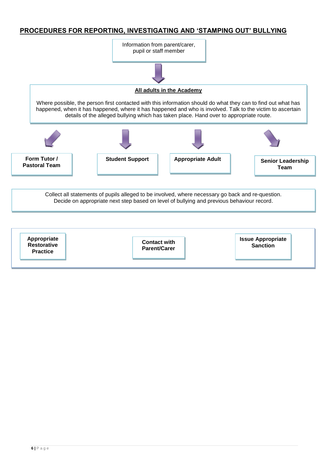# **PROCEDURES FOR REPORTING, INVESTIGATING AND 'STAMPING OUT' BULLYING**